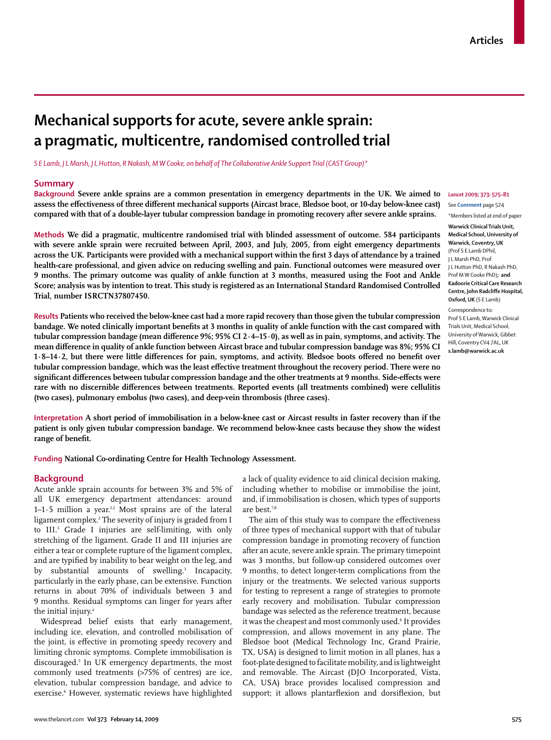# **Mechanical supports for acute, severe ankle sprain: a pragmatic, multicentre, randomised controlled trial**

*S E Lamb, J L Marsh, J L Hutton, R Nakash, M W Cooke, on behalf of The Collaborative Ankle Support Trial (CAST Group)\**

#### **Summary**

**Background Severe ankle sprains are a common presentation in emergency departments in the UK. We aimed to**  *Lancet* **2009; 373: 575–81** assess the effectiveness of three different mechanical supports (Aircast brace, Bledsoe boot, or 10-day below-knee cast) **compared with that of a double-layer tubular compression bandage in promoting recovery after severe ankle sprains.**

**Methods We did a pragmatic, multicentre randomised trial with blinded assessment of outcome. 584 participants with severe ankle sprain were recruited between April, 2003, and July, 2005, from eight emergency departments across the UK. Participants were provided with a mechanical support within the first 3 days of attendance by a trained health-care professional, and given advice on reducing swelling and pain. Functional outcomes were measured over 9 months. The primary outcome was quality of ankle function at 3 months, measured using the Foot and Ankle Score; analysis was by intention to treat. This study is registered as an International Standard Randomised Controlled Trial, number ISRCTN37807450.**

**Results Patients who received the below-knee cast had a more rapid recovery than those given the tubular compression**  bandage. We noted clinically important benefits at 3 months in quality of ankle function with the cast compared with tubular compression bandage (mean difference 9%; 95% CI 2·4-15·0), as well as in pain, symptoms, and activity. The mean difference in quality of ankle function between Aircast brace and tubular compression bandage was 8%; 95% CI 1·8–14·2, but there were little differences for pain, symptoms, and activity. Bledsoe boots offered no benefit over tubular compression bandage, which was the least effective treatment throughout the recovery period. There were no significant differences between tubular compression bandage and the other treatments at 9 months. Side-effects were rare with no discernible differences between treatments. Reported events (all treatments combined) were cellulitis **(two cases), pulmonary embolus (two cases), and deep-vein thrombosis (three cases).**

**Interpretation A short period of immobilisation in a below-knee cast or Aircast results in faster recovery than if the patient is only given tubular compression bandage. We recommend below-knee casts because they show the widest**  range of benefit.

**Funding National Co-ordinating Centre for Health Technology Assessment.**

## **Background**

Acute ankle sprain accounts for between 3% and 5% of all UK emergency department attendances: around 1–1 $\cdot$ 5 million a year.<sup>1,2</sup> Most sprains are of the lateral ligament complex.2 The severity of injury is graded from I to III.3 Grade I injuries are self-limiting, with only stretching of the ligament. Grade II and III injuries are either a tear or complete rupture of the ligament complex, and are typified by inability to bear weight on the leg, and by substantial amounts of swelling.<sup>3</sup> Incapacity, particularly in the early phase, can be extensive. Function returns in about 70% of individuals between 3 and 9 months. Residual symptoms can linger for years after the initial injury.<sup>4</sup>

Widespread belief exists that early management, including ice, elevation, and controlled mobilisation of the joint, is effective in promoting speedy recovery and limiting chronic symptoms. Complete immobilisation is discouraged.5 In UK emergency departments, the most commonly used treatments (>75% of centres) are ice, elevation, tubular compression bandage, and advice to exercise.6 However, systematic reviews have highlighted a lack of quality evidence to aid clinical decision making, including whether to mobilise or immobilise the joint, and, if immobilisation is chosen, which types of supports are best.7,8

The aim of this study was to compare the effectiveness of three types of mechanical support with that of tubular compression bandage in promoting recovery of function after an acute, severe ankle sprain. The primary timepoint was 3 months, but follow-up considered outcomes over 9 months, to detect longer-term complications from the injury or the treatments. We selected various supports for testing to represent a range of strategies to promote early recovery and mobilisation. Tubular compression bandage was selected as the reference treatment, because it was the cheapest and most commonly used.6 It provides compression, and allows movement in any plane. The Bledsoe boot (Medical Technology Inc, Grand Prairie, TX, USA) is designed to limit motion in all planes, has a foot-plate designed to facilitate mobility, and is lightweight and removable. The Aircast (DJO Incorporated, Vista, CA, USA) brace provides localised compression and support; it allows plantarflexion and dorsiflexion, but

See **Comment** page 524

\*Members listed at end of paper **Warwick Clinical Trials Unit, Medical School, University of Warwick, Coventry, UK**  (Prof S E Lamb DPhil, J L Marsh PhD, Prof J L Hutton PhD, R Nakash PhD, Prof M W Cooke PhD)**; and Kadoorie Critical Care Research Centre, John Radcliffe Hospital, Oxford, UK** (S E Lamb)

Correspondence to: Prof S E Lamb, Warwick Clinical Trials Unit, Medical School, University of Warwick, Gibbet Hill, Coventry CV4 7AL, UK **s.lamb@warwick.ac.uk**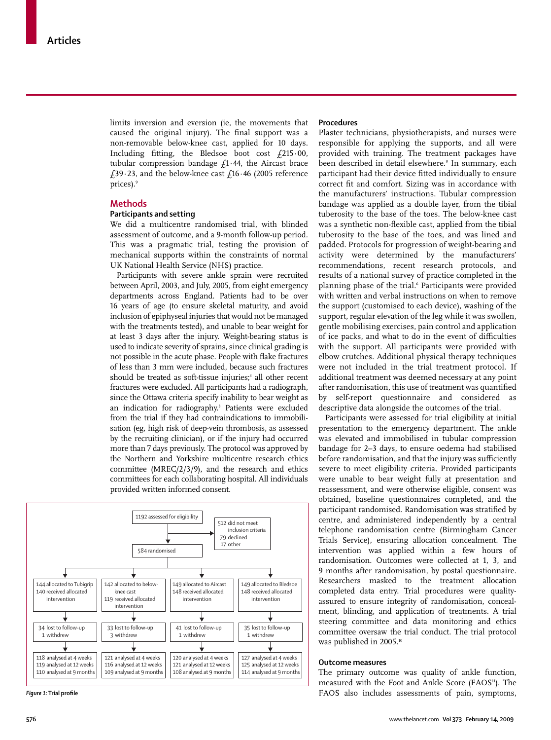limits inversion and eversion (ie, the movements that caused the original injury). The final support was a non-removable below-knee cast, applied for 10 days. Including fitting, the Bledsoe boot cost  $f$ 215 $\cdot$ 00, tubular compression bandage  $f_1$ 1.44, the Aircast brace £39.23, and the below-knee cast £16.46 (2005 reference prices).<sup>9</sup>

# **Methods**

# **Participants and setting**

We did a multicentre randomised trial, with blinded assessment of outcome, and a 9-month follow-up period. This was a pragmatic trial, testing the provision of mechanical supports within the constraints of normal UK National Health Service (NHS) practice.

Participants with severe ankle sprain were recruited between April, 2003, and July, 2005, from eight emergency departments across England. Patients had to be over 16 years of age (to ensure skeletal maturity, and avoid inclusion of epiphyseal injuries that would not be managed with the treatments tested), and unable to bear weight for at least 3 days after the injury. Weight-bearing status is used to indicate severity of sprains, since clinical grading is not possible in the acute phase. People with flake fractures of less than 3 mm were included, because such fractures should be treated as soft-tissue injuries;<sup>3</sup> all other recent fractures were excluded. All participants had a radiograph, since the Ottawa criteria specify inability to bear weight as an indication for radiography.3 Patients were excluded from the trial if they had contraindications to immobilisation (eg, high risk of deep-vein thrombosis, as assessed by the recruiting clinician), or if the injury had occurred more than 7 days previously. The protocol was approved by the Northern and Yorkshire multicentre research ethics committee (MREC/2/3/9), and the research and ethics committees for each collaborating hospital. All individuals provided written informed consent.



**Figure 1: Trial profile** 

#### **Procedures**

Plaster technicians, physiotherapists, and nurses were responsible for applying the supports, and all were provided with training. The treatment packages have been described in detail elsewhere.9 In summary, each participant had their device fitted individually to ensure correct fit and comfort. Sizing was in accordance with the manufacturers' instructions. Tubular compression bandage was applied as a double layer, from the tibial tuberosity to the base of the toes. The below-knee cast was a synthetic non-flexible cast, applied from the tibial tuberosity to the base of the toes, and was lined and padded. Protocols for progression of weight-bearing and activity were determined by the manufacturers' recommendations, recent research protocols, and results of a national survey of practice completed in the planning phase of the trial.<sup>6</sup> Participants were provided with written and verbal instructions on when to remove the support (customised to each device), washing of the support, regular elevation of the leg while it was swollen, gentle mobilising exercises, pain control and application of ice packs, and what to do in the event of difficulties with the support. All participants were provided with elbow crutches. Additional physical therapy techniques were not included in the trial treatment protocol. If additional treatment was deemed necessary at any point after randomisation, this use of treatment was quantified by self-report questionnaire and considered as descriptive data alongside the outcomes of the trial.

Participants were assessed for trial eligibility at initial presentation to the emergency department. The ankle was elevated and immobilised in tubular compression bandage for 2–3 days, to ensure oedema had stabilised before randomisation, and that the injury was sufficiently severe to meet eligibility criteria. Provided participants were unable to bear weight fully at presentation and reassessment, and were otherwise eligible, consent was obtained, baseline questionnaires completed, and the participant randomised. Randomisation was stratified by centre, and administered independently by a central telephone randomisation centre (Birmingham Cancer Trials Service), ensuring allocation concealment. The intervention was applied within a few hours of randomisation. Outcomes were collected at 1, 3, and 9 months after randomisation, by postal questionnaire. Researchers masked to the treatment allocation completed data entry. Trial procedures were qualityassured to ensure integrity of randomisation, concealment, blinding, and application of treatments. A trial steering committee and data monitoring and ethics committee oversaw the trial conduct. The trial protocol was published in 2005.<sup>10</sup>

# **Outcome measures**

The primary outcome was quality of ankle function, measured with the Foot and Ankle Score (FAOS<sup>11</sup>). The FAOS also includes assessments of pain, symptoms,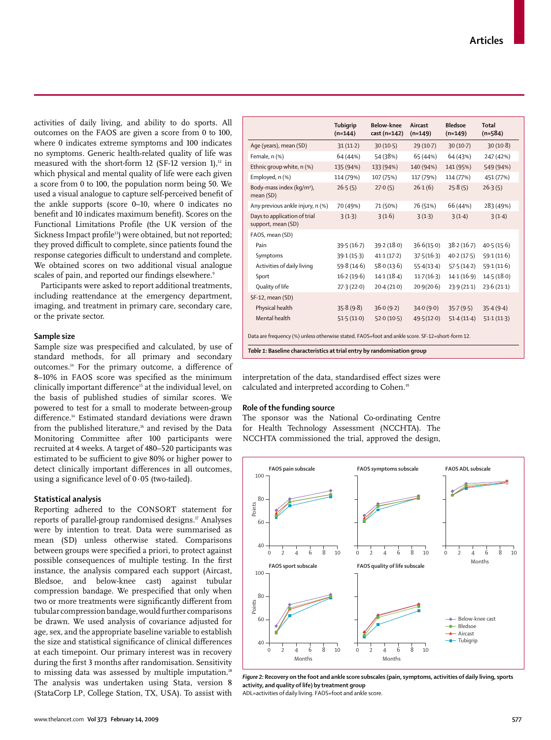activities of daily living, and ability to do sports. All outcomes on the FAOS are given a score from 0 to 100, where 0 indicates extreme symptoms and 100 indicates no symptoms. Generic health-related quality of life was measured with the short-form 12 (SF-12 version 1), $12$  in which physical and mental quality of life were each given a score from 0 to 100, the population norm being 50. We used a visual analogue to capture self-perceived benefit of the ankle supports (score 0–10, where 0 indicates no benefit and 10 indicates maximum benefit). Scores on the Functional Limitations Profile (the UK version of the Sickness Impact profile<sup>13</sup>) were obtained, but not reported; they proved difficult to complete, since patients found the response categories difficult to understand and complete. We obtained scores on two additional visual analogue scales of pain, and reported our findings elsewhere.9

Participants were asked to report additional treatments, including reattendance at the emergency department, imaging, and treatment in primary care, secondary care, or the private sector.

#### **Sample size**

Sample size was prespecified and calculated, by use of standard methods, for all primary and secondary outcomes.<sup>14</sup> For the primary outcome, a difference of 8–10% in FAOS score was specified as the minimum clinically important difference<sup>15</sup> at the individual level, on the basis of published studies of similar scores. We powered to test for a small to moderate between-group difference.<sup>14</sup> Estimated standard deviations were drawn from the published literature,<sup>16</sup> and revised by the Data Monitoring Committee after 100 participants were recruited at 4 weeks. A target of 480–520 participants was estimated to be sufficient to give 80% or higher power to detect clinically important differences in all outcomes, using a significance level of  $0.05$  (two-tailed).

## **Statistical analysis**

Reporting adhered to the CONSORT statement for reports of parallel-group randomised designs.<sup>17</sup> Analyses were by intention to treat. Data were summarised as mean (SD) unless otherwise stated. Comparisons between groups were specified a priori, to protect against possible consequences of multiple testing. In the first instance, the analysis compared each support (Aircast, Bledsoe, and below-knee cast) against tubular compression bandage. We prespecified that only when two or more treatments were significantly different from tubular compression bandage, would further comparisons be drawn. We used analysis of covariance adjusted for age, sex, and the appropriate baseline variable to establish the size and statistical significance of clinical differences at each timepoint. Our primary interest was in recovery during the first 3 months after randomisation. Sensitivity to missing data was assessed by multiple imputation.<sup>18</sup> The analysis was undertaken using Stata, version 8 (StataCorp LP, College Station, TX, USA). To assist with

|                                                    | Tubigrip<br>$(n=144)$ | Below-knee<br>cast (n=142) | Aircast<br>$(n=149)$ | <b>Bledsoe</b><br>$(n=149)$ | <b>Total</b><br>$(n=584)$ |
|----------------------------------------------------|-----------------------|----------------------------|----------------------|-----------------------------|---------------------------|
| Age (years), mean (SD)                             | $31(11-2)$            | 30(10.5)                   | $29(10-7)$           | $30(10-7)$                  | 30(10.8)                  |
| Female, n (%)                                      | 64 (44%)              | 54 (38%)                   | 65 (44%)             | 64 (43%)                    | 247 (42%)                 |
| Ethnic group white, n (%)                          | 135 (94%)             | 133 (94%)                  | 140 (94%)            | 141 (95%)                   | 549 (94%)                 |
| Employed, n (%)                                    | 114 (79%)             | 107 (75%)                  | 117 (79%)            | 114 (77%)                   | 451 (77%)                 |
| Body-mass index (kg/m <sup>2</sup> ),<br>mean (SD) | 26.5(5)               | 27.0(5)                    | 26.1(6)              | 25.8(5)                     | 26.3(5)                   |
| Any previous ankle injury, n (%)                   | 70 (49%)              | 71 (50%)                   | 76 (51%)             | 66 (44%)                    | 283 (49%)                 |
| Days to application of trial<br>support, mean (SD) | 3(1.3)                | 3(1.6)                     | 3(1.3)               | 3(1.4)                      | 3(1.4)                    |
| FAOS, mean (SD)                                    |                       |                            |                      |                             |                           |
| Pain                                               | 39.5(16.7)            | 39.2(18.0)                 | 36.6(15.0)           | 38.2(16.7)                  | 40.5(15.6)                |
| Symptoms                                           | 39.1(15.3)            | 41.1(17.2)                 | 37.5(16.3)           | 40.2(17.5)                  | 59.1(11.6)                |
| Activities of daily living                         | 59.8(14.6)            | 58.0(13.6)                 | 55.4(13.4)           | 57.5(14.2)                  | 59.1(11.6)                |
| Sport                                              | 16.2(19.6)            | 14.1(18.4)                 | 11.7(16.3)           | 14.1(16.9)                  | 14.5(18.0)                |
| Quality of life                                    | 27.3(22.0)            | 20.4(21.0)                 | 20.9(20.6)           | 23.9(21.1)                  | 23.6(21.1)                |
| SF-12, mean (SD)                                   |                       |                            |                      |                             |                           |
| Physical health                                    | 35.8(9.8)             | 36.0(9.2)                  | 34.0(9.0)            | 35.7(9.5)                   | 35.4(9.4)                 |
| Mental health                                      | 51.5(11.0)            | 52.0(10.5)                 | 49.5(12.0)           | 51.4(11.4)                  | 51.1(11.3)                |

interpretation of the data, standardised effect sizes were calculated and interpreted according to Cohen.19

### **Role of the funding source**

The sponsor was the National Co-ordinating Centre for Health Technology Assessment (NCCHTA). The NCCHTA commissioned the trial, approved the design,



*Figure 2:* **Recovery on the foot and ankle score subscales (pain, symptoms, activities of daily living, sports activity, and quality of life) by treatment group**

ADL=activities of daily living. FAOS=foot and ankle score.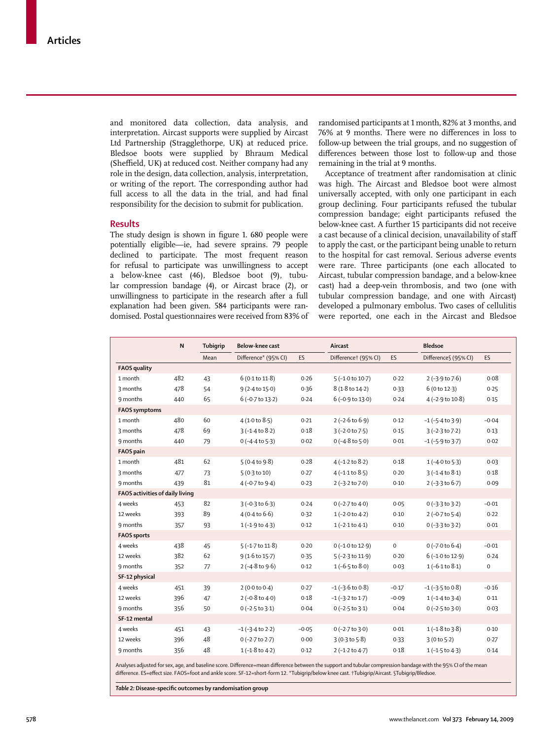and monitored data collection, data analysis, and interpretation. Aircast supports were supplied by Aircast Ltd Partnership (Stragglethorpe, UK) at reduced price. Bledsoe boots were supplied by Bhraum Medical (Sheffield, UK) at reduced cost. Neither company had any role in the design, data collection, analysis, interpretation, or writing of the report. The corresponding author had full access to all the data in the trial, and had final responsibility for the decision to submit for publication.

#### **Results**

The study design is shown in figure 1.680 people were potentially eligible—ie, had severe sprains. 79 people declined to participate. The most frequent reason for refusal to participate was unwillingness to accept a below-knee cast (46), Bledsoe boot (9), tubular compression bandage (4), or Aircast brace (2), or unwilling ness to participate in the research after a full explanation had been given. 584 participants were randomised. Postal questionnaires were received from 83% of randomised participants at 1 month, 82% at 3 months, and 76% at 9 months. There were no differences in loss to follow-up between the trial groups, and no suggestion of differences between those lost to follow-up and those remaining in the trial at 9 months.

Acceptance of treatment after randomisation at clinic was high. The Aircast and Bledsoe boot were almost universally accepted, with only one participant in each group declining. Four participants refused the tubular compression bandage; eight participants refused the below-knee cast. A further 15 participants did not receive a cast because of a clinical decision, unavailability of staff to apply the cast, or the participant being unable to return to the hospital for cast removal. Serious adverse events were rare. Three participants (one each allocated to Aircast, tubular compression bandage, and a below-knee cast) had a deep-vein thrombosis, and two (one with tubular compression bandage, and one with Aircast) developed a pulmonary embolus. Two cases of cellulitis were reported, one each in the Aircast and Bledsoe

|                                 | $\mathsf{N}$ | <b>Tubigrip</b> | Below-knee cast           |         | Aircast                    |             | <b>Bledsoe</b>            |                     |
|---------------------------------|--------------|-----------------|---------------------------|---------|----------------------------|-------------|---------------------------|---------------------|
|                                 |              | Mean            | Difference* (95% CI)      | ES      | Differencet (95% CI)       | ES          | Difference§ (95% CI)      | <b>ES</b>           |
| <b>FAOS</b> quality             |              |                 |                           |         |                            |             |                           |                     |
| 1 month                         | 482          | 43              | 6(0.1 to 11.8)            | 0.26    | $5(-1.0 to 10.7)$          | 0.22        | $2(-3.9 \text{ to } 7.6)$ | 0.08                |
| 3 months                        | 478          | 54              | 9 (2.4 to 15.0)           | 0.36    | 8 (1.8 to 14.2)            | 0.33        | 6(0 to 12.3)              | 0.25                |
| 9 months                        | 440          | 65              | $6(-0.7 to 13.2)$         | 0.24    | $6(-0.9 to 13.0)$          | 0.24        | $4(-2.9$ to $10.8)$       | 0.15                |
| <b>FAOS</b> symptoms            |              |                 |                           |         |                            |             |                           |                     |
| 1 month                         | 480          | 60              | 4(1.0 to 8.5)             | 0.21    | $2(-2.6 \text{ to } 6.9)$  | 0.12        | $-1$ ( $-5.4$ to $3.9$ )  | $-0.04$             |
| 3 months                        | 478          | 69              | $3(-1.4 to 8.2)$          | 0.18    | $3(-2.0 to 7.5)$           | 0.15        | $3(-2.3$ to $7.2)$        | 0.13                |
| 9 months                        | 440          | 79              | $0(-4.4 \text{ to } 5.3)$ | 0.02    | $0(-4.8 \text{ to } 5.0)$  | 0.01        | $-1$ ( $-5.9$ to $3.7$ )  | 0.02                |
| <b>FAOS</b> pain                |              |                 |                           |         |                            |             |                           |                     |
| 1 month                         | 481          | 62              | 5(0.4 to 9.8)             | 0.28    | $4(-1.2 \text{ to } 8.2)$  | 0.18        | $1(-4.0 to 5.3)$          | 0.03                |
| 3 months                        | 477          | 73              | $5(0.3 \text{ to } 10)$   | 0.27    | $4(-1.1 to 8.5)$           | 0.20        | $3(-1.4 to 8.1)$          | 0.18                |
| 9 months                        | 439          | 81              | $4(-0.7$ to $9.4)$        | 0.23    | $2(-3.2$ to $7.0)$         | 0.10        | $2(-3.3)$ to $6.7$ )      | 0.09                |
| FAOS activities of daily living |              |                 |                           |         |                            |             |                           |                     |
| 4 weeks                         | 453          | 82              | $3(-0.3 to 6.3)$          | 0.24    | $0$ (-2.7 to 4.0)          | 0.05        | $0(-3.3 \text{ to } 3.2)$ | $-0.01$             |
| 12 weeks                        | 393          | 89              | 4(0.4 to 6.6)             | 0.32    | $1(-2.0 \text{ to } 4.2)$  | 0.10        | 2 (-0.7 to 5.4)           | 0.22                |
| 9 months                        | 357          | 93              | $1(-1.9 \text{ to } 4.3)$ | 0.12    | $1(-2.1 \text{ to } 4.1)$  | 0.10        | $0(-3.3 \text{ to } 3.2)$ | 0.01                |
| <b>FAOS</b> sports              |              |                 |                           |         |                            |             |                           |                     |
| 4 weeks                         | 438          | 45              | $5(-1.7 to 11.8)$         | 0.20    | $0(-1.0 to 12.9)$          | $\mathbf 0$ | $0(-7.0 to 6.4)$          | $-0.01$             |
| 12 weeks                        | 382          | 62              | $9(1.6 \text{ to } 15.7)$ | 0.35    | $5(-2.3 \text{ to } 11.9)$ | 0.20        | $6(-1.0 to 12.9)$         | 0.24                |
| 9 months                        | 352          | 77              | $2(-4.8$ to $9.6)$        | 0.12    | $1(-6.5 \text{ to } 8.0)$  | 0.03        | $1(-6.1 to 8.1)$          | $\mathsf{O}\xspace$ |
| SF-12 physical                  |              |                 |                           |         |                            |             |                           |                     |
| 4 weeks                         | 451          | 39              | 2(0.0 to 0.4)             | 0.27    | $-1$ ( $-3.6$ to 0.8)      | $-0.17$     | $-1$ ( $-3.5$ to 0.8)     | $-0.16$             |
| 12 weeks                        | 396          | 47              | $2(-0.8 to 4.0)$          | 0.18    | $-1$ ( $-3.2$ to $1.7$ )   | $-0.09$     | $1(-1.4 to 3.4)$          | 0.11                |
| 9 months                        | 356          | 50              | $0$ (-2.5 to 3.1)         | 0.04    | $0$ (-2.5 to 3.1)          | 0.04        | $0$ (-2.5 to 3.0)         | 0.03                |
| SF-12 mental                    |              |                 |                           |         |                            |             |                           |                     |
| 4 weeks                         | 451          | 43              | $-1$ ( $-3.4$ to 2.2)     | $-0.05$ | $0$ (-2.7 to 3.0)          | 0.01        | $1(-1.8 \text{ to } 3.8)$ | 0.10                |
| 12 weeks                        | 396          | 48              | $0$ (-2.7 to 2.7)         | 0.00    | 3(0.3 to 5.8)              | 0.33        | 3(0 to 5.2)               | 0.27                |
| 9 months                        | 356          | 48              | $1(-1.8 \text{ to } 4.2)$ | 0.12    | $2(-1.2$ to $4.7)$         | 0.18        | $1(-1.5 \text{ to } 4.3)$ | 0.14                |
|                                 |              |                 |                           |         |                            |             |                           |                     |

Analyses adjusted for sex, age, and baseline score. Difference=mean difference between the support and tubular compression bandage with the 95% CI of the mean difference. ES=effect size. FAOS=foot and ankle score. SF-12=short-form 12. \*Tubigrip/below knee cast. †Tubigrip/Aircast. §Tubigrip/Bledsoe

Table 2: Disease-specific outcomes by randomisation group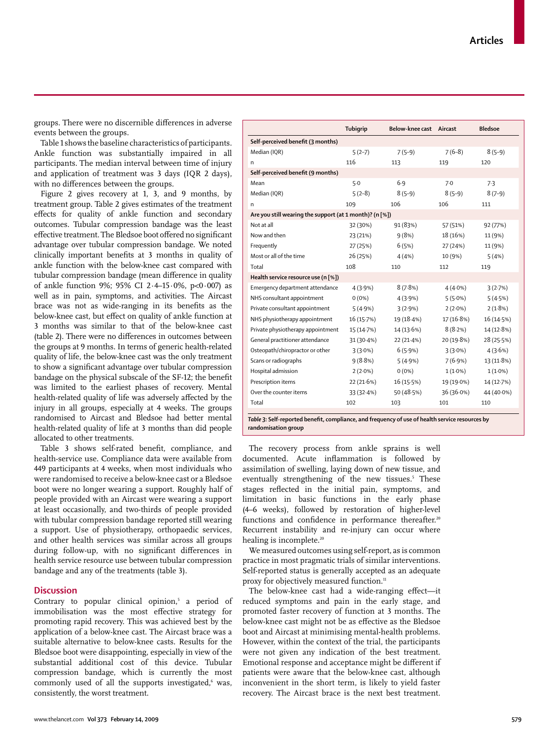groups. There were no discernible differences in adverse events between the groups.

Table 1 shows the baseline characteristics of participants. Ankle function was substantially impaired in all participants. The median interval between time of injury and application of treatment was 3 days (IQR 2 days), with no differences between the groups.

Figure 2 gives recovery at 1, 3, and 9 months, by treatment group. Table 2 gives estimates of the treatment effects for quality of ankle function and secondary outcomes. Tubular compression bandage was the least effective treatment. The Bledsoe boot offered no significant advantage over tubular compression bandage. We noted clinically important benefits at 3 months in quality of ankle function with the below-knee cast compared with tubular compression bandage (mean difference in quality of ankle function 9%; 95% CI 2·4–15·0%, p<0·007) as well as in pain, symptoms, and activities. The Aircast brace was not as wide-ranging in its benefits as the below-knee cast, but effect on quality of ankle function at 3 months was similar to that of the below-knee cast (table 2). There were no differences in outcomes between the groups at 9 months. In terms of generic health-related quality of life, the below-knee cast was the only treatment to show a significant advantage over tubular compression bandage on the physical subscale of the SF-12; the benefit was limited to the earliest phases of recovery. Mental health-related quality of life was adversely affected by the injury in all groups, especially at 4 weeks. The groups randomised to Aircast and Bledsoe had better mental health-related quality of life at 3 months than did people allocated to other treatments.

Table 3 shows self-rated benefit, compliance, and health-service use. Compliance data were available from 449 participants at 4 weeks, when most individuals who were randomised to receive a below-knee cast or a Bledsoe boot were no longer wearing a support. Roughly half of people provided with an Aircast were wearing a support at least occasionally, and two-thirds of people provided with tubular compression bandage reported still wearing a support. Use of physiotherapy, orthopaedic services, and other health services was similar across all groups during follow-up, with no significant differences in health service resource use between tubular compression bandage and any of the treatments (table 3).

# **Discussion**

Contrary to popular clinical opinion,<sup>5</sup> a period of immobilisation was the most effective strategy for promoting rapid recovery. This was achieved best by the application of a below-knee cast. The Aircast brace was a suitable alternative to below-knee casts. Results for the Bledsoe boot were disappointing, especially in view of the substantial additional cost of this device. Tubular compression bandage, which is currently the most commonly used of all the supports investigated, was, consistently, the worst treatment.

|                                                         | Tubigrip     | Below-knee cast Aircast |            | <b>Bledsoe</b> |  |  |  |  |  |
|---------------------------------------------------------|--------------|-------------------------|------------|----------------|--|--|--|--|--|
| Self-perceived benefit (3 months)                       |              |                         |            |                |  |  |  |  |  |
| Median (IQR)                                            | $5(2-7)$     | $7(5-9)$                | $7(6-8)$   | $8(5-9)$       |  |  |  |  |  |
| n                                                       | 116          | 113                     | 119        | 120            |  |  |  |  |  |
| Self-perceived benefit (9 months)                       |              |                         |            |                |  |  |  |  |  |
| Mean                                                    | $5-0$        | 6.9                     | 7.0        | 7.3            |  |  |  |  |  |
| Median (IQR)                                            | $5(2-8)$     | $8(5-9)$                | $8(5-9)$   | $8(7-9)$       |  |  |  |  |  |
| n                                                       | 109          | 106                     | 106        | 111            |  |  |  |  |  |
| Are you still wearing the support (at 1 month)? (n [%]) |              |                         |            |                |  |  |  |  |  |
| Not at all                                              | 32 (30%)     | 91 (83%)                | 57 (51%)   | 92 (77%)       |  |  |  |  |  |
| Now and then                                            | 23 (21%)     | 9(8%)                   | 18 (16%)   | 11 (9%)        |  |  |  |  |  |
| Frequently                                              | 27 (25%)     | 6(5%)                   | 27 (24%)   | 11 (9%)        |  |  |  |  |  |
| Most or all of the time                                 | 26 (25%)     | 4(4%                    | 10 (9%)    | 5(4%)          |  |  |  |  |  |
| Total                                                   | 108          | 110                     | 112        | 119            |  |  |  |  |  |
| Health service resource use (n [%])                     |              |                         |            |                |  |  |  |  |  |
| Emergency department attendance                         | 4(3.9%)      | 8(7.8%)                 | $4(4.0\%)$ | 3(2.7%)        |  |  |  |  |  |
| NHS consultant appointment                              | $0(0\%)$     | 4(3.9%)                 | 5(5.0%)    | 5(4.5%)        |  |  |  |  |  |
| Private consultant appointment                          | 5(4.9%)      | 3(2.9%)                 | $2(2.0\%)$ | 2(1.8%)        |  |  |  |  |  |
| NHS physiotherapy appointment                           | 16(15.7%)    | 19 (18.4%)              | 17 (16.8%) | 16 (14.5%)     |  |  |  |  |  |
| Private physiotherapy appointment                       | 15 (14.7%)   | 14(13.6%)               | 8(8.2%)    | 14 (12.8%)     |  |  |  |  |  |
| General practitioner attendance                         | $31(30.4\%)$ | 22(21.4%)               | 20 (19.8%) | 28 (25.5%)     |  |  |  |  |  |
| Osteopath/chiropractor or other                         | $3(3.0\%)$   | 6(5.9%)                 | $3(3.0\%)$ | 4(3.6%)        |  |  |  |  |  |
| Scans or radiographs                                    | 9(8.8%)      | 5(4.9%)                 | 7(6.9%)    | 13(11.8%)      |  |  |  |  |  |
| Hospital admission                                      | $2(2.0\%)$   | $0(0\%)$                | $1(1.0\%)$ | $1(1.0\%)$     |  |  |  |  |  |
| Prescription items                                      | 22(21.6%)    | 16(15.5%)               | 19 (19.0%) | 14 (12.7%)     |  |  |  |  |  |
| Over the counter items                                  | 33(32.4%)    | 50 (48.5%)              | 36 (36.0%) | 44 (40.0%)     |  |  |  |  |  |
| Total                                                   | 102          | 103                     | 101        | 110            |  |  |  |  |  |
|                                                         |              |                         |            |                |  |  |  |  |  |

Table 3: Self-reported benefit, compliance, and frequency of use of health service resources by **randomisation group**

The recovery process from ankle sprains is well documented. Acute inflammation is followed by assimilation of swelling, laying down of new tissue, and eventually strengthening of the new tissues.<sup>5</sup> These stages reflected in the initial pain, symptoms, and limitation in basic functions in the early phase (4–6 weeks), followed by restoration of higher-level functions and confidence in performance thereafter.<sup>20</sup> Recurrent instability and re-injury can occur where healing is incomplete.<sup>20</sup>

We measured outcomes using self-report, as is common practice in most pragmatic trials of similar interventions. Self-reported status is generally accepted as an adequate proxy for objectively measured function.<sup>11</sup>

The below-knee cast had a wide-ranging effect-it reduced symptoms and pain in the early stage, and promoted faster recovery of function at 3 months. The below-knee cast might not be as effective as the Bledsoe boot and Aircast at minimising mental-health problems. However, within the context of the trial, the participants were not given any indication of the best treatment. Emotional response and acceptance might be different if patients were aware that the below-knee cast, although inconvenient in the short term, is likely to yield faster recovery. The Aircast brace is the next best treatment.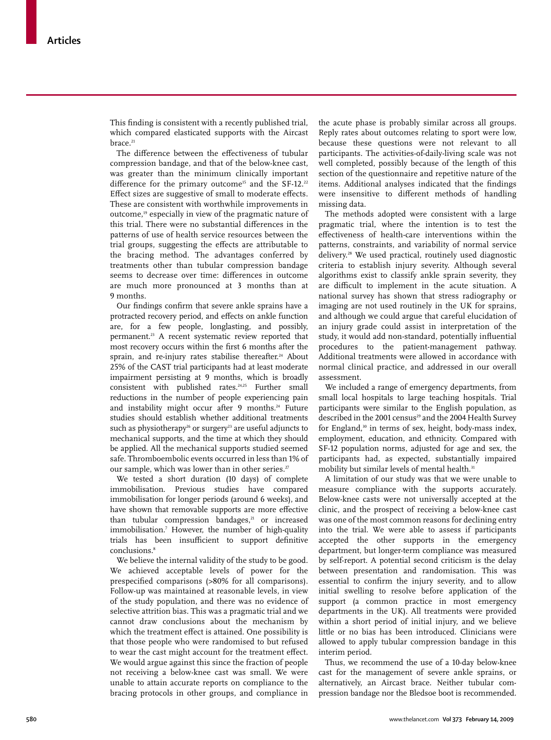This finding is consistent with a recently published trial, which compared elasticated supports with the Aircast brace.<sup>21</sup>

The difference between the effectiveness of tubular compression bandage, and that of the below-knee cast, was greater than the minimum clinically important difference for the primary outcome<sup>15</sup> and the SF-12.<sup>22</sup> Effect sizes are suggestive of small to moderate effects. These are consistent with worthwhile improvements in outcome,19 especially in view of the pragmatic nature of this trial. There were no substantial differences in the patterns of use of health service resources between the trial groups, suggesting the effects are attributable to the bracing method. The advantages conferred by treatments other than tubular compression bandage seems to decrease over time: differences in outcome are much more pronounced at 3 months than at 9 months.

Our findings confirm that severe ankle sprains have a protracted recovery period, and effects on ankle function are, for a few people, longlasting, and possibly, permanent.23 A recent systematic review reported that most recovery occurs within the first 6 months after the sprain, and re-injury rates stabilise thereafter.<sup>24</sup> About 25% of the CAST trial participants had at least moderate impairment persisting at 9 months, which is broadly consistent with published rates.<sup>24,25</sup> Further small reductions in the number of people experiencing pain and instability might occur after 9 months.<sup>24</sup> Future studies should establish whether additional treatments such as physiotherapy<sup>26</sup> or surgery<sup>23</sup> are useful adjuncts to mechanical supports, and the time at which they should be applied. All the mechanical supports studied seemed safe. Thromboembolic events occurred in less than 1% of our sample, which was lower than in other series.<sup>27</sup>

We tested a short duration (10 days) of complete immobilisation. Previous studies have compared immobilisation for longer periods (around 6 weeks), and have shown that removable supports are more effective than tubular compression bandages, $21$  or increased immobilisation.7 However, the number of high-quality trials has been insufficient to support definitive conclusions.<sup>8</sup>

We believe the internal validity of the study to be good. We achieved acceptable levels of power for the prespecified comparisons (>80% for all comparisons). Follow-up was maintained at reasonable levels, in view of the study population, and there was no evidence of selective attrition bias. This was a pragmatic trial and we cannot draw conclusions about the mechanism by which the treatment effect is attained. One possibility is that those people who were randomised to but refused to wear the cast might account for the treatment effect. We would argue against this since the fraction of people not receiving a below-knee cast was small. We were unable to attain accurate reports on compliance to the bracing protocols in other groups, and compliance in

the acute phase is probably similar across all groups. Reply rates about outcomes relating to sport were low, because these questions were not relevant to all participants. The activities-of-daily-living scale was not well completed, possibly because of the length of this section of the questionnaire and repetitive nature of the items. Additional analyses indicated that the findings were insensitive to different methods of handling missing data.

The methods adopted were consistent with a large pragmatic trial, where the intention is to test the effectiveness of health-care interventions within the patterns, constraints, and variability of normal service delivery.28 We used practical, routinely used diagnostic criteria to establish injury severity. Although several algorithms exist to classify ankle sprain severity, they are difficult to implement in the acute situation. A national survey has shown that stress radiography or imaging are not used routinely in the UK for sprains, and although we could argue that careful elucidation of an injury grade could assist in interpretation of the study, it would add non-standard, potentially influential procedures to the patient-management pathway. Additional treatments were allowed in accordance with normal clinical practice, and addressed in our overall assessment.

We included a range of emergency departments, from small local hospitals to large teaching hospitals. Trial participants were similar to the English population, as described in the 2001 census<sup>29</sup> and the 2004 Health Survey for England,<sup>30</sup> in terms of sex, height, body-mass index, employment, education, and ethnicity. Compared with SF-12 population norms, adjusted for age and sex, the participants had, as expected, substantially impaired mobility but similar levels of mental health.<sup>31</sup>

A limitation of our study was that we were unable to measure compliance with the supports accurately. Below-knee casts were not universally accepted at the clinic, and the prospect of receiving a below-knee cast was one of the most common reasons for declining entry into the trial. We were able to assess if participants accepted the other supports in the emergency department, but longer-term compliance was measured by self-report. A potential second criticism is the delay between presentation and randomisation. This was essential to confirm the injury severity, and to allow initial swelling to resolve before application of the support (a common practice in most emergency departments in the UK). All treatments were provided within a short period of initial injury, and we believe little or no bias has been introduced. Clinicians were allowed to apply tubular compression bandage in this interim period.

Thus, we recommend the use of a 10-day below-knee cast for the management of severe ankle sprains, or alternatively, an Aircast brace. Neither tubular compression bandage nor the Bledsoe boot is recommended.